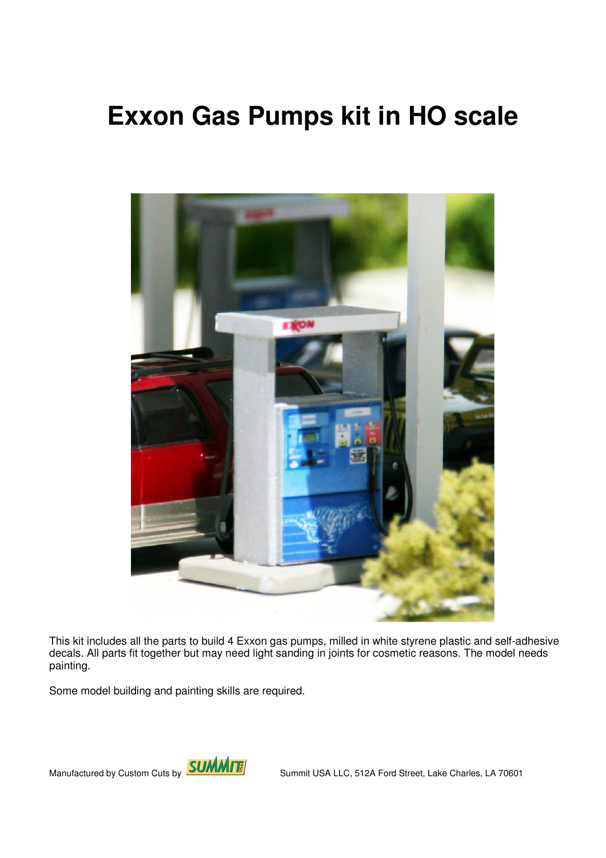## **Exxon Gas Pumps kit in HO scale**



This kit includes all the parts to build 4 Exxon gas pumps, milled in white styrene plastic and self-adhesive decals. All parts fit together but may need light sanding in joints for cosmetic reasons. The model needs painting.

Some model building and painting skills are required.

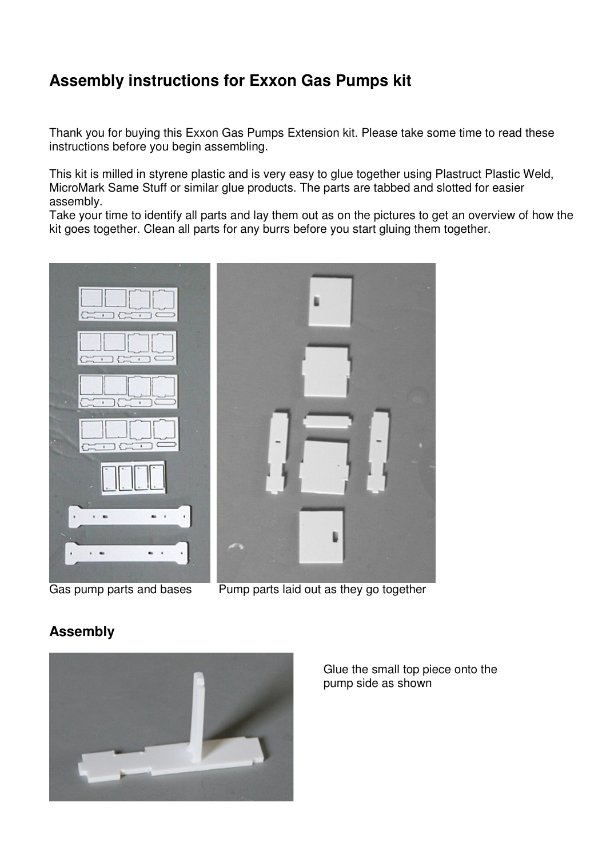## **Assembly instructions for Exxon Gas Pumps kit**

Thank you for buying this Exxon Gas Pumps Extension kit. Please take some time to read these instructions before you begin assembling.

This kit is milled in styrene plastic and is very easy to glue together using Plastruct Plastic Weld, MicroMark Same Stuff or similar glue products. The parts are tabbed and slotted for easier assembly.

Take your time to identify all parts and lay them out as on the pictures to get an overview of how the kit goes together. Clean all parts for any burrs before you start gluing them together.



Gas pump parts and bases Pump parts laid out as they go together

## **Assembly**



Glue the small top piece onto the pump side as shown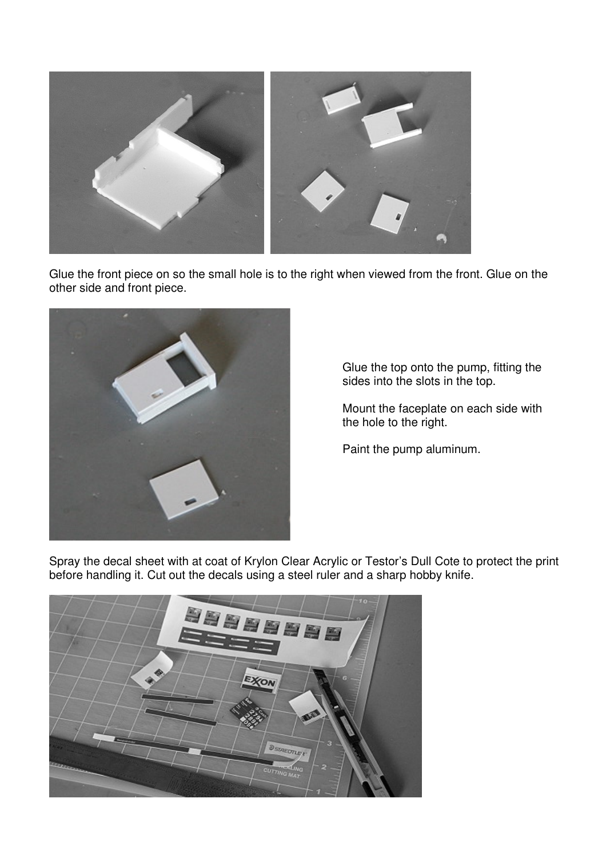

Glue the front piece on so the small hole is to the right when viewed from the front. Glue on the other side and front piece.



Glue the top onto the pump, fitting the sides into the slots in the top.

Mount the faceplate on each side with the hole to the right.

Paint the pump aluminum.

Spray the decal sheet with at coat of Krylon Clear Acrylic or Testor's Dull Cote to protect the print before handling it. Cut out the decals using a steel ruler and a sharp hobby knife.